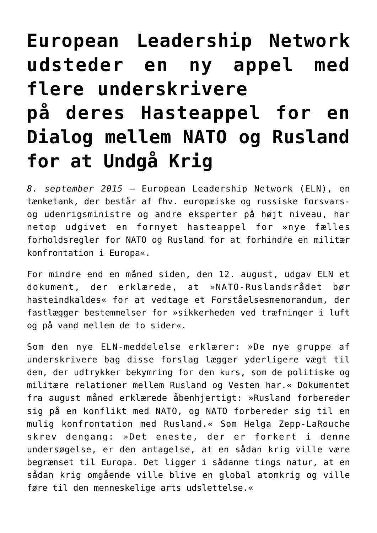# **[European Leadership Network](https://schillerinstitut.dk/si/2015/09/european-leadership-network-udsteder-en-ny-appel-med-flere-underskrivere-paa-deres-hasteappel-for-en-dialog-mellem-nato-og-rusland-for-at-undgaa-krig/) [udsteder en ny appel med](https://schillerinstitut.dk/si/2015/09/european-leadership-network-udsteder-en-ny-appel-med-flere-underskrivere-paa-deres-hasteappel-for-en-dialog-mellem-nato-og-rusland-for-at-undgaa-krig/) [flere underskrivere](https://schillerinstitut.dk/si/2015/09/european-leadership-network-udsteder-en-ny-appel-med-flere-underskrivere-paa-deres-hasteappel-for-en-dialog-mellem-nato-og-rusland-for-at-undgaa-krig/) [på deres Hasteappel for en](https://schillerinstitut.dk/si/2015/09/european-leadership-network-udsteder-en-ny-appel-med-flere-underskrivere-paa-deres-hasteappel-for-en-dialog-mellem-nato-og-rusland-for-at-undgaa-krig/) [Dialog mellem NATO og Rusland](https://schillerinstitut.dk/si/2015/09/european-leadership-network-udsteder-en-ny-appel-med-flere-underskrivere-paa-deres-hasteappel-for-en-dialog-mellem-nato-og-rusland-for-at-undgaa-krig/) [for at Undgå Krig](https://schillerinstitut.dk/si/2015/09/european-leadership-network-udsteder-en-ny-appel-med-flere-underskrivere-paa-deres-hasteappel-for-en-dialog-mellem-nato-og-rusland-for-at-undgaa-krig/)**

*8. september 2015* – European Leadership Network (ELN), en tænketank, der består af fhv. europæiske og russiske forsvarsog udenrigsministre og andre eksperter på højt niveau, har netop udgivet en fornyet hasteappel for »nye fælles forholdsregler for NATO og Rusland for at forhindre en militær konfrontation i Europa«.

For mindre end en måned siden, den 12. august, udgav ELN et dokument, der erklærede, at »NATO-Ruslandsrådet bør hasteindkaldes« for at vedtage et Forståelsesmemorandum, der fastlægger bestemmelser for »sikkerheden ved træfninger i luft og på vand mellem de to sider«.

Som den nye ELN-meddelelse erklærer: »De nye gruppe af underskrivere bag disse forslag lægger yderligere vægt til dem, der udtrykker bekymring for den kurs, som de politiske og militære relationer mellem Rusland og Vesten har.« Dokumentet fra august måned erklærede åbenhjertigt: »Rusland forbereder sig på en konflikt med NATO, og NATO forbereder sig til en mulig konfrontation med Rusland.« Som Helga Zepp-LaRouche skrev dengang: »Det eneste, der er forkert i denne undersøgelse, er den antagelse, at en sådan krig ville være begrænset til Europa. Det ligger i sådanne tings natur, at en sådan krig omgående ville blive en global atomkrig og ville føre til den menneskelige arts udslettelse.«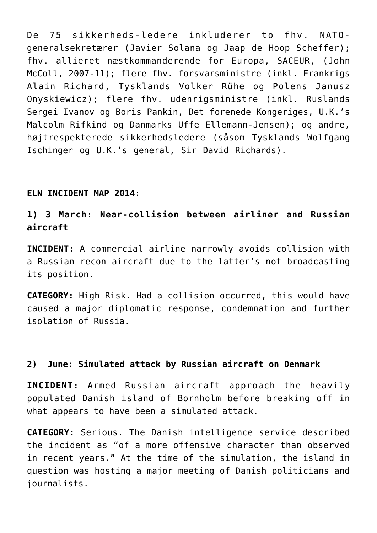De 75 sikkerheds-ledere inkluderer to fhv. NATOgeneralsekretærer (Javier Solana og Jaap de Hoop Scheffer); fhv. allieret næstkommanderende for Europa, SACEUR, (John McColl, 2007-11); flere fhv. forsvarsministre (inkl. Frankrigs Alain Richard, Tysklands Volker Rühe og Polens Janusz Onyskiewicz); flere fhv. udenrigsministre (inkl. Ruslands Sergei Ivanov og Boris Pankin, Det forenede Kongeriges, U.K.'s Malcolm Rifkind og Danmarks Uffe Ellemann-Jensen); og andre, højtrespekterede sikkerhedsledere (såsom Tysklands Wolfgang Ischinger og U.K.'s general, Sir David Richards).

#### **ELN INCIDENT MAP 2014:**

## **1) 3 March: Near-collision between airliner and Russian aircraft**

**INCIDENT:** A commercial airline narrowly avoids collision with a Russian recon aircraft due to the latter's not broadcasting its position.

**CATEGORY:** High Risk. Had a collision occurred, this would have caused a major diplomatic response, condemnation and further isolation of Russia.

#### **2) June: Simulated attack by Russian aircraft on Denmark**

**INCIDENT:** Armed Russian aircraft approach the heavily populated Danish island of Bornholm before breaking off in what appears to have been a simulated attack.

**CATEGORY:** Serious. The Danish intelligence service described the incident as "of a more offensive character than observed in recent years." At the time of the simulation, the island in question was hosting a major meeting of Danish politicians and journalists.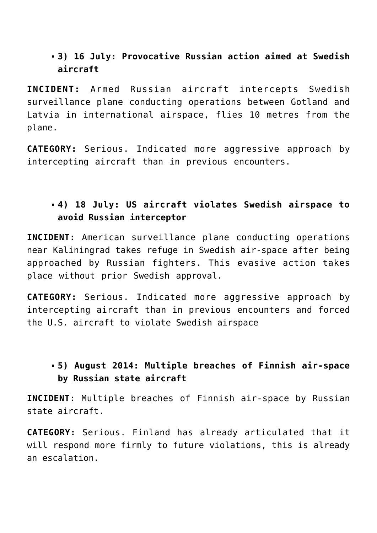## **3) 16 July: Provocative Russian action aimed at Swedish aircraft**

**INCIDENT:** Armed Russian aircraft intercepts Swedish surveillance plane conducting operations between Gotland and Latvia in international airspace, flies 10 metres from the plane.

**CATEGORY:** Serious. Indicated more aggressive approach by intercepting aircraft than in previous encounters.

# **4) 18 July: US aircraft violates Swedish airspace to avoid Russian interceptor**

**INCIDENT:** American surveillance plane conducting operations near Kaliningrad takes refuge in Swedish air-space after being approached by Russian fighters. This evasive action takes place without prior Swedish approval.

**CATEGORY:** Serious. Indicated more aggressive approach by intercepting aircraft than in previous encounters and forced the U.S. aircraft to violate Swedish airspace

## **5) August 2014: Multiple breaches of Finnish air-space by Russian state aircraft**

**INCIDENT:** Multiple breaches of Finnish air-space by Russian state aircraft.

**CATEGORY:** Serious. Finland has already articulated that it will respond more firmly to future violations, this is already an escalation.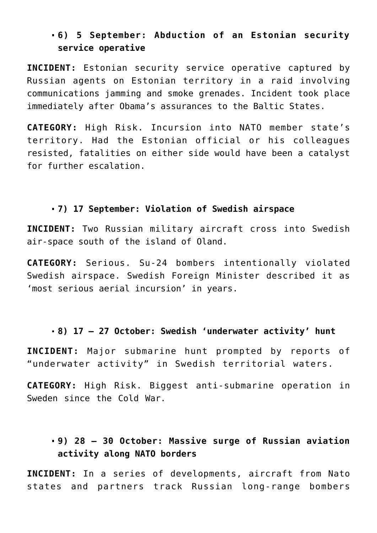#### **6) 5 September: Abduction of an Estonian security service operative**

**INCIDENT:** Estonian security service operative captured by Russian agents on Estonian territory in a raid involving communications jamming and smoke grenades. Incident took place immediately after Obama's assurances to the Baltic States.

**CATEGORY:** High Risk. Incursion into NATO member state's territory. Had the Estonian official or his colleagues resisted, fatalities on either side would have been a catalyst for further escalation.

#### **7) 17 September: Violation of Swedish airspace**

**INCIDENT:** Two Russian military aircraft cross into Swedish air-space south of the island of Oland.

**CATEGORY:** Serious. Su-24 bombers intentionally violated Swedish airspace. Swedish Foreign Minister described it as 'most serious aerial incursion' in years.

# **8) 17 – 27 October: Swedish 'underwater activity' hunt**

**INCIDENT:** Major submarine hunt prompted by reports of "underwater activity" in Swedish territorial waters.

**CATEGORY:** High Risk. Biggest anti-submarine operation in Sweden since the Cold War.

## **9) 28 – 30 October: Massive surge of Russian aviation activity along NATO borders**

**INCIDENT:** In a series of developments, aircraft from Nato states and partners track Russian long-range bombers